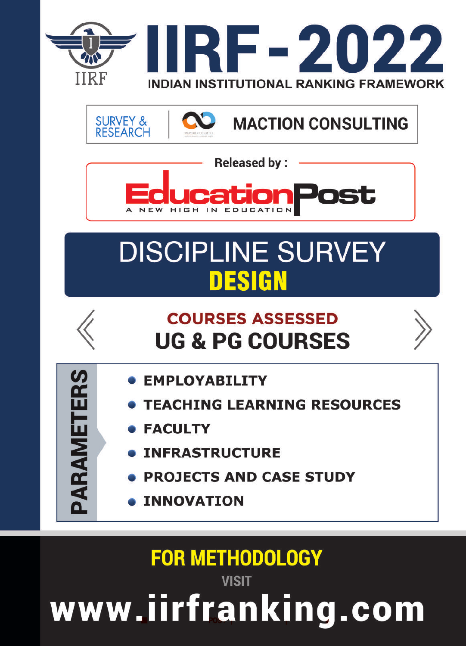

**SURVEY & MACTION CONSULTING RESEARCH** 



# **DISCIPLINE SURVEY** DESIGN



PARAMETERS

## **COURSES ASSESSED UG & PG COURSES**

- **EMPLOYABILITY**
- **TEACHING LEARNING RESOURCES**
- **FACULTY**
- **INFRASTRUCTURE**
- **PROJECTS AND CASE STUDY**
- **INNOVATION**

# **FOR METHODOLOGY VISIT** www.iirfranking.com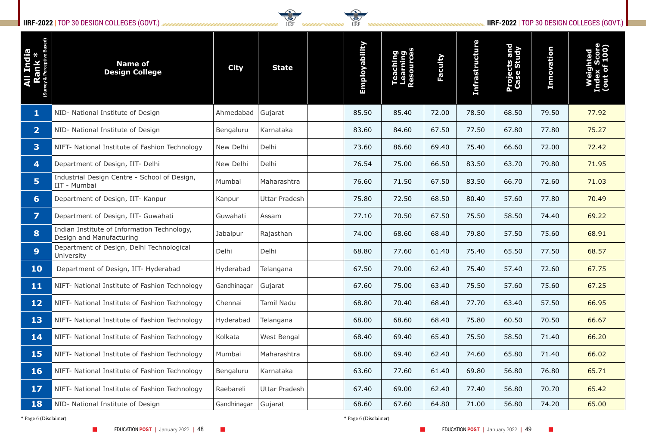### **IIRF-2022** | TOP 30 DESIGN COLLEGES (GOVT.) **IIRF-2022** | TOP 30 DESIGN COLLEGES (GOVT.)



| Rank *<br>(Survey & Perceptive Based)<br><b>Elpon</b> | <b>Name of</b><br><b>Design College</b>                                 | <b>City</b> | <b>State</b>         | Employability | <b>Do 3</b><br>Teaching<br>Learning<br>Resource | Faculty | <b>Infrastructure</b> | <b>Projects and<br/>Case Study</b> | Innovation | Score<br>100)<br>Weigh<br>Index S<br>Out of |
|-------------------------------------------------------|-------------------------------------------------------------------------|-------------|----------------------|---------------|-------------------------------------------------|---------|-----------------------|------------------------------------|------------|---------------------------------------------|
| $\mathbf{1}$                                          | NID- National Institute of Design                                       | Ahmedabad   | Gujarat              | 85.50         | 85.40                                           | 72.00   | 78.50                 | 68.50                              | 79.50      | 77.92                                       |
| $\overline{2}$                                        | NID- National Institute of Design                                       | Bengaluru   | Karnataka            | 83.60         | 84.60                                           | 67.50   | 77.50                 | 67.80                              | 77.80      | 75.27                                       |
| 3                                                     | NIFT- National Institute of Fashion Technology                          | New Delhi   | Delhi                | 73.60         | 86.60                                           | 69.40   | 75.40                 | 66.60                              | 72.00      | 72.42                                       |
| 4                                                     | Department of Design, IIT- Delhi                                        | New Delhi   | Delhi                | 76.54         | 75.00                                           | 66.50   | 83.50                 | 63.70                              | 79.80      | 71.95                                       |
| 5                                                     | Industrial Design Centre - School of Design,<br>IIT - Mumbai            | Mumbai      | Maharashtra          | 76.60         | 71.50                                           | 67.50   | 83.50                 | 66.70                              | 72.60      | 71.03                                       |
| 6 <sup>1</sup>                                        | Department of Design, IIT- Kanpur                                       | Kanpur      | <b>Uttar Pradesh</b> | 75.80         | 72.50                                           | 68.50   | 80.40                 | 57.60                              | 77.80      | 70.49                                       |
| $\overline{7}$                                        | Department of Design, IIT- Guwahati                                     | Guwahati    | Assam                | 77.10         | 70.50                                           | 67.50   | 75.50                 | 58.50                              | 74.40      | 69.22                                       |
| 8                                                     | Indian Institute of Information Technology,<br>Design and Manufacturing | Jabalpur    | Rajasthan            | 74.00         | 68.60                                           | 68.40   | 79.80                 | 57.50                              | 75.60      | 68.91                                       |
| 9                                                     | Department of Design, Delhi Technological<br>University                 | Delhi       | Delhi                | 68.80         | 77.60                                           | 61.40   | 75.40                 | 65.50                              | 77.50      | 68.57                                       |
| 10                                                    | Department of Design, IIT- Hyderabad                                    | Hyderabad   | Telangana            | 67.50         | 79.00                                           | 62.40   | 75.40                 | 57.40                              | 72.60      | 67.75                                       |
| 11                                                    | NIFT- National Institute of Fashion Technology                          | Gandhinagar | Gujarat              | 67.60         | 75.00                                           | 63.40   | 75.50                 | 57.60                              | 75.60      | 67.25                                       |
| 12                                                    | NIFT- National Institute of Fashion Technology                          | Chennai     | Tamil Nadu           | 68.80         | 70.40                                           | 68.40   | 77.70                 | 63.40                              | 57.50      | 66.95                                       |
| 13                                                    | NIFT- National Institute of Fashion Technology                          | Hyderabad   | Telangana            | 68.00         | 68.60                                           | 68.40   | 75.80                 | 60.50                              | 70.50      | 66.67                                       |
| 14                                                    | NIFT- National Institute of Fashion Technology                          | Kolkata     | West Bengal          | 68.40         | 69.40                                           | 65.40   | 75.50                 | 58.50                              | 71.40      | 66.20                                       |
| 15                                                    | NIFT- National Institute of Fashion Technology                          | Mumbai      | Maharashtra          | 68.00         | 69.40                                           | 62.40   | 74.60                 | 65.80                              | 71.40      | 66.02                                       |
| <b>16</b>                                             | NIFT- National Institute of Fashion Technology                          | Bengaluru   | Karnataka            | 63.60         | 77.60                                           | 61.40   | 69.80                 | 56.80                              | 76.80      | 65.71                                       |
| 17                                                    | NIFT- National Institute of Fashion Technology                          | Raebareli   | <b>Uttar Pradesh</b> | 67.40         | 69.00                                           | 62.40   | 77.40                 | 56.80                              | 70.70      | 65.42                                       |
| <b>18</b>                                             | NID- National Institute of Design                                       | Gandhinagar | Gujarat              | 68.60         | 67.60                                           | 64.80   | 71.00                 | 56.80                              | 74.20      | 65.00                                       |

\* Page 6 (Disclaimer) \* Page 6 (Disclaimer)

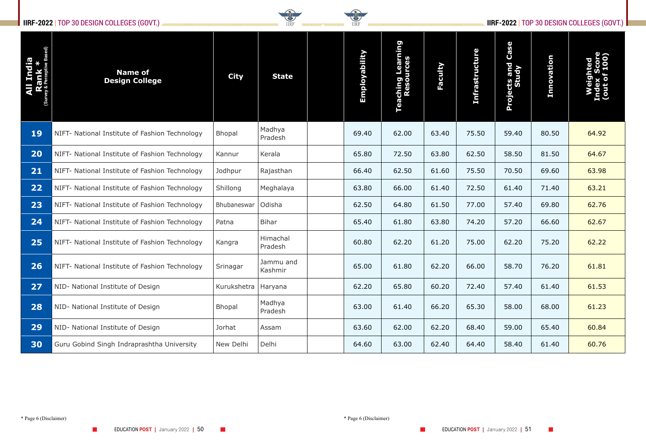### **IIRF-2022** | TOP 30 DESIGN COLLEGES (GOVT.) **IIRF-2022** | TOP 30 DESIGN COLLEGES (GOVT.)



| <b>All India<br/>Rank *</b><br><sub>(Survey &amp; Perceptive Based)</sub> | <b>Name of</b><br><b>City</b><br><b>Design College</b>          | <b>State</b>          | Employability | Teaching Learning<br>Resources | Faculty | <b>Infrastructure</b> | Case<br>Projects and only | Innovation | out of |
|---------------------------------------------------------------------------|-----------------------------------------------------------------|-----------------------|---------------|--------------------------------|---------|-----------------------|---------------------------|------------|--------|
| <b>19</b>                                                                 | NIFT- National Institute of Fashion Technology<br><b>Bhopal</b> | Madhya<br>Pradesh     | 69.40         | 62.00                          | 63.40   | 75.50                 | 59.40                     | 80.50      | 64.92  |
| 20                                                                        | NIFT- National Institute of Fashion Technology<br>Kannur        | Kerala                | 65.80         | 72.50                          | 63.80   | 62.50                 | 58.50                     | 81.50      | 64.67  |
| 21                                                                        | NIFT- National Institute of Fashion Technology<br>Jodhpur       | Rajasthan             | 66.40         | 62.50                          | 61.60   | 75.50                 | 70.50                     | 69.60      | 63.98  |
| 22                                                                        | NIFT- National Institute of Fashion Technology<br>Shillong      | Meghalaya             | 63.80         | 66.00                          | 61.40   | 72.50                 | 61.40                     | 71.40      | 63.21  |
| 23                                                                        | NIFT- National Institute of Fashion Technology<br>Bhubaneswar   | Odisha                | 62.50         | 64.80                          | 61.50   | 77.00                 | 57.40                     | 69.80      | 62.76  |
| 24                                                                        | NIFT- National Institute of Fashion Technology<br>Patna         | <b>Bihar</b>          | 65.40         | 61.80                          | 63.80   | 74.20                 | 57.20                     | 66.60      | 62.67  |
| 25                                                                        | NIFT- National Institute of Fashion Technology<br>Kangra        | Himachal<br>Pradesh   | 60.80         | 62.20                          | 61.20   | 75.00                 | 62.20                     | 75.20      | 62.22  |
| 26                                                                        | NIFT- National Institute of Fashion Technology<br>Srinagar      | Jammu and<br>Kashmir  | 65.00         | 61.80                          | 62.20   | 66.00                 | 58.70                     | 76.20      | 61.81  |
| 27                                                                        | NID- National Institute of Design                               | Kurukshetra   Haryana | 62.20         | 65.80                          | 60.20   | 72.40                 | 57.40                     | 61.40      | 61.53  |
| 28                                                                        | Bhopal<br>NID- National Institute of Design                     | Madhya<br>Pradesh     | 63.00         | 61.40                          | 66.20   | 65.30                 | 58.00                     | 68.00      | 61.23  |
| 29                                                                        | NID- National Institute of Design<br>Jorhat                     | Assam                 | 63.60         | 62.00                          | 62.20   | 68.40                 | 59.00                     | 65.40      | 60.84  |
| 30                                                                        | Guru Gobind Singh Indraprashtha University<br>New Delhi         | Delhi                 | 64.60         | 63.00                          | 62.40   | 64.40                 | 58.40                     | 61.40      | 60.76  |

\* Page 6 (Disclaimer) \* Page 6 (Disclaimer)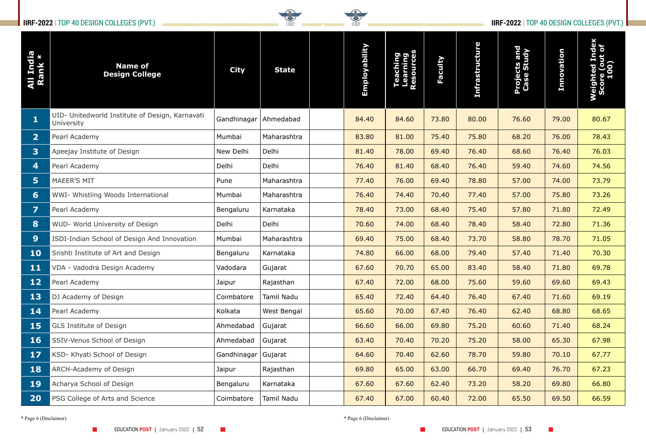### **IIRF-2022** | TOP 40 DESIGN COLLEGES (PVT.) **IIRF-2022** | TOP 40 DESIGN COLLEGES (PVT.)



| All India<br>Rank *     | <b>Name of</b><br><b>Design College</b>                       | <b>City</b> | <b>State</b> | Employability | <b>290</b><br>1900<br>arni<br>our | Faculty | <b>Infrastructure</b> | <b>Projects and<br/>Case Study</b> | <b>Innovation</b> | <b>Weighted Index<br/>Score (out of<br/>100)</b> |
|-------------------------|---------------------------------------------------------------|-------------|--------------|---------------|-----------------------------------|---------|-----------------------|------------------------------------|-------------------|--------------------------------------------------|
| $\mathbf{1}$            | UID- Unitedworld Institute of Design, Karnavati<br>University | Gandhinagar | Ahmedabad    | 84.40         | 84.60                             | 73.80   | 80.00                 | 76.60                              | 79.00             | 80.67                                            |
| $\overline{\mathbf{2}}$ | Pearl Academy                                                 | Mumbai      | Maharashtra  | 83.80         | 81.00                             | 75.40   | 75.80                 | 68.20                              | 76.00             | 78.43                                            |
| $\mathbf{3}$            | Apeejay Institute of Design                                   | New Delhi   | Delhi        | 81.40         | 78.00                             | 69.40   | 76.40                 | 68.60                              | 76.40             | 76.03                                            |
| $\overline{4}$          | Pearl Academy                                                 | Delhi       | Delhi        | 76.40         | 81.40                             | 68.40   | 76.40                 | 59.40                              | 74.60             | 74.56                                            |
| 5                       | <b>MAEER'S MIT</b>                                            | Pune        | Maharashtra  | 77.40         | 76.00                             | 69.40   | 78.80                 | 57.00                              | 74.00             | 73.79                                            |
| $6 \overline{6}$        | WWI- Whistling Woods International                            | Mumbai      | Maharashtra  | 76.40         | 74.40                             | 70.40   | 77.40                 | 57.00                              | 75.80             | 73.26                                            |
| $\overline{7}$          | Pearl Academy                                                 | Bengaluru   | Karnataka    | 78.40         | 73.00                             | 68.40   | 75.40                 | 57.80                              | 71.80             | 72.49                                            |
| 8                       | WUD- World University of Design                               | Delhi       | Delhi        | 70.60         | 74.00                             | 68.40   | 78.40                 | 58.40                              | 72.80             | 71.36                                            |
| 9                       | ISDI-Indian School of Design And Innovation                   | Mumbai      | Maharashtra  | 69.40         | 75.00                             | 68.40   | 73.70                 | 58.80                              | 78.70             | 71.05                                            |
| <b>10</b>               | Srishti Institute of Art and Design                           | Bengaluru   | Karnataka    | 74.80         | 66.00                             | 68.00   | 79.40                 | 57.40                              | 71.40             | 70.30                                            |
| 11                      | VDA - Vadodra Design Academy                                  | Vadodara    | Gujarat      | 67.60         | 70.70                             | 65.00   | 83.40                 | 58.40                              | 71.80             | 69.78                                            |
| $12$                    | Pearl Academy                                                 | Jaipur      | Rajasthan    | 67.40         | 72.00                             | 68.00   | 75.60                 | 59.60                              | 69.60             | 69.43                                            |
| 13                      | DJ Academy of Design                                          | Coimbatore  | Tamil Nadu   | 65.40         | 72.40                             | 64.40   | 76.40                 | 67.40                              | 71.60             | 69.19                                            |
| 14                      | Pearl Academy                                                 | Kolkata     | West Bengal  | 65.60         | 70.00                             | 67.40   | 76.40                 | 62.40                              | 68.80             | 68.65                                            |
| 15                      | <b>GLS Institute of Design</b>                                | Ahmedabad   | Gujarat      | 66.60         | 66.00                             | 69.80   | 75.20                 | 60.60                              | 71.40             | 68.24                                            |
| <b>16</b>               | SSIV-Venus School of Design                                   | Ahmedabad   | Gujarat      | 63.40         | 70.40                             | 70.20   | 75.20                 | 58.00                              | 65.30             | 67.98                                            |
| 17                      | KSD- Khyati School of Design                                  | Gandhinagar | Gujarat      | 64.60         | 70.40                             | 62.60   | 78.70                 | 59.80                              | 70.10             | 67.77                                            |
| 18                      | ARCH-Academy of Design                                        | Jaipur      | Rajasthan    | 69.80         | 65.00                             | 63.00   | 66.70                 | 69.40                              | 76.70             | 67.23                                            |
| 19                      | Acharya School of Design                                      | Bengaluru   | Karnataka    | 67.60         | 67.60                             | 62.40   | 73.20                 | 58.20                              | 69.80             | 66.80                                            |
| 20                      | PSG College of Arts and Science                               | Coimbatore  | Tamil Nadu   | 67.40         | 67.00                             | 60.40   | 72.00                 | 65.50                              | 69.50             | 66.59                                            |

\* Page 6 (Disclaimer) \* Page 6 (Disclaimer)

 $\mathcal{L}^{\text{max}}$